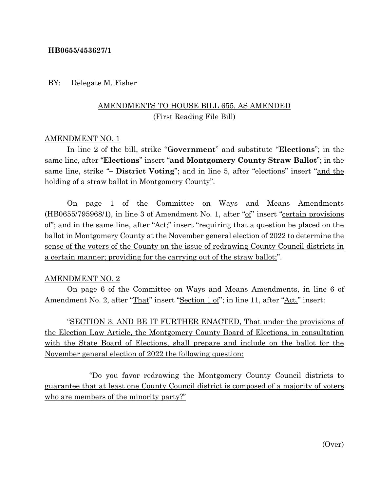### **HB0655/453627/1**

#### BY: Delegate M. Fisher

# AMENDMENTS TO HOUSE BILL 655, AS AMENDED (First Reading File Bill)

### AMENDMENT NO. 1

In line 2 of the bill, strike "**Government**" and substitute "**Elections**"; in the same line, after "**Elections**" insert "**and Montgomery County Straw Ballot**"; in the same line, strike "**– District Voting**"; and in line 5, after "elections" insert "and the holding of a straw ballot in Montgomery County".

On page 1 of the Committee on Ways and Means Amendments (HB0655/795968/1), in line 3 of Amendment No. 1, after "of" insert "certain provisions" of"; and in the same line, after "Act;" insert "requiring that a question be placed on the ballot in Montgomery County at the November general election of 2022 to determine the sense of the voters of the County on the issue of redrawing County Council districts in a certain manner; providing for the carrying out of the straw ballot;".

#### AMENDMENT NO. 2

On page 6 of the Committee on Ways and Means Amendments, in line 6 of Amendment No. 2, after "That" insert "Section 1 of"; in line 11, after "Act." insert:

"SECTION 3. AND BE IT FURTHER ENACTED, That under the provisions of the Election Law Article, the Montgomery County Board of Elections, in consultation with the State Board of Elections, shall prepare and include on the ballot for the November general election of 2022 the following question:

"Do you favor redrawing the Montgomery County Council districts to guarantee that at least one County Council district is composed of a majority of voters who are members of the minority party?"